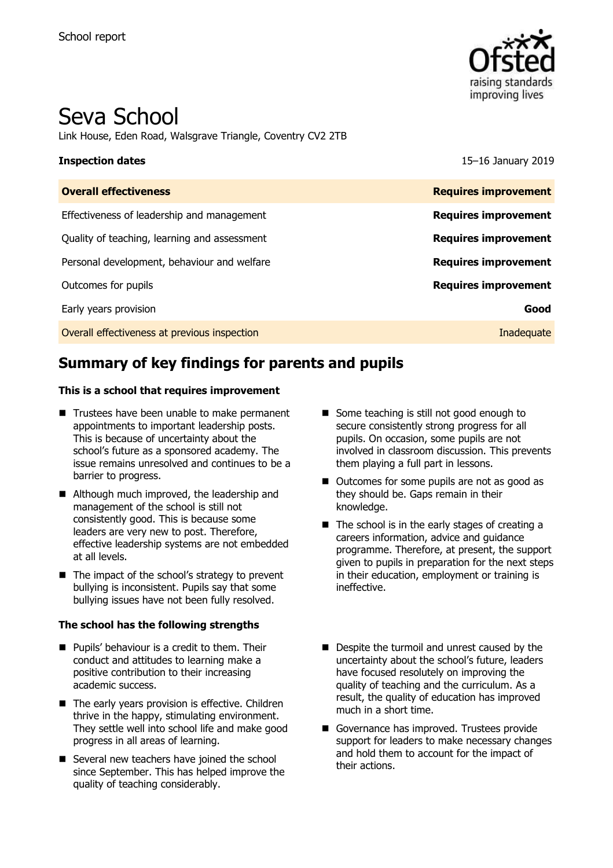

# Seva School

Link House, Eden Road, Walsgrave Triangle, Coventry CV2 2TB

**Inspection dates** 15–16 January 2019

| <b>Requires improvement</b> |
|-----------------------------|
| <b>Requires improvement</b> |
| <b>Requires improvement</b> |
| <b>Requires improvement</b> |
| <b>Requires improvement</b> |
| Good                        |
| Inadequate                  |
|                             |

# **Summary of key findings for parents and pupils**

#### **This is a school that requires improvement**

- Trustees have been unable to make permanent appointments to important leadership posts. This is because of uncertainty about the school's future as a sponsored academy. The issue remains unresolved and continues to be a barrier to progress.
- Although much improved, the leadership and management of the school is still not consistently good. This is because some leaders are very new to post. Therefore, effective leadership systems are not embedded at all levels.
- $\blacksquare$  The impact of the school's strategy to prevent bullying is inconsistent. Pupils say that some bullying issues have not been fully resolved.

#### **The school has the following strengths**

- **Pupils' behaviour is a credit to them. Their** conduct and attitudes to learning make a positive contribution to their increasing academic success.
- The early years provision is effective. Children thrive in the happy, stimulating environment. They settle well into school life and make good progress in all areas of learning.
- Several new teachers have joined the school since September. This has helped improve the quality of teaching considerably.
- Some teaching is still not good enough to secure consistently strong progress for all pupils. On occasion, some pupils are not involved in classroom discussion. This prevents them playing a full part in lessons.
- Outcomes for some pupils are not as good as they should be. Gaps remain in their knowledge.
- $\blacksquare$  The school is in the early stages of creating a careers information, advice and guidance programme. Therefore, at present, the support given to pupils in preparation for the next steps in their education, employment or training is ineffective.
- Despite the turmoil and unrest caused by the uncertainty about the school's future, leaders have focused resolutely on improving the quality of teaching and the curriculum. As a result, the quality of education has improved much in a short time.
- Governance has improved. Trustees provide support for leaders to make necessary changes and hold them to account for the impact of their actions.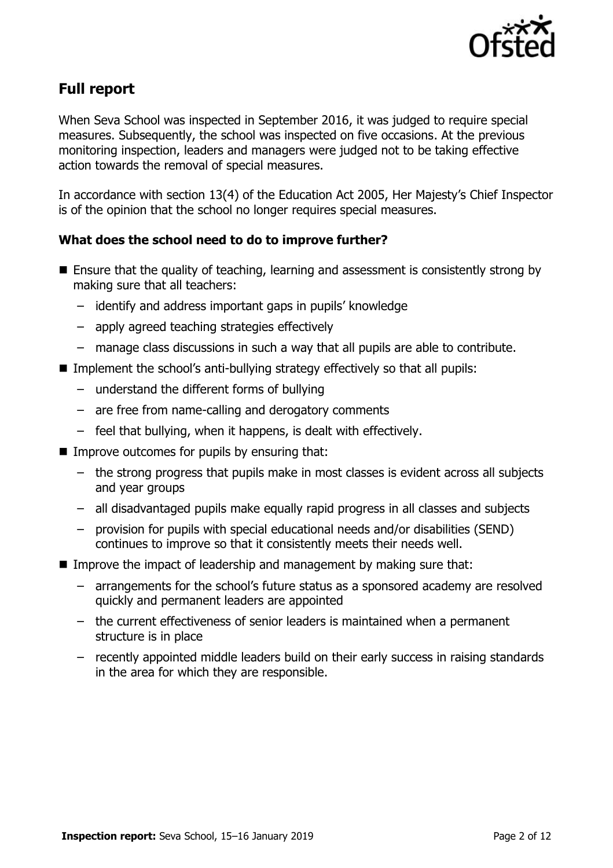

# **Full report**

When Seva School was inspected in September 2016, it was judged to require special measures. Subsequently, the school was inspected on five occasions. At the previous monitoring inspection, leaders and managers were judged not to be taking effective action towards the removal of special measures.

In accordance with section 13(4) of the Education Act 2005, Her Majesty's Chief Inspector is of the opinion that the school no longer requires special measures.

### **What does the school need to do to improve further?**

- Ensure that the quality of teaching, learning and assessment is consistently strong by making sure that all teachers:
	- identify and address important gaps in pupils' knowledge
	- apply agreed teaching strategies effectively
	- manage class discussions in such a way that all pupils are able to contribute.
- Implement the school's anti-bullying strategy effectively so that all pupils:
	- understand the different forms of bullying
	- are free from name-calling and derogatory comments
	- feel that bullying, when it happens, is dealt with effectively.
- $\blacksquare$  Improve outcomes for pupils by ensuring that:
	- the strong progress that pupils make in most classes is evident across all subjects and year groups
	- all disadvantaged pupils make equally rapid progress in all classes and subjects
	- provision for pupils with special educational needs and/or disabilities (SEND) continues to improve so that it consistently meets their needs well.
- Improve the impact of leadership and management by making sure that:
	- arrangements for the school's future status as a sponsored academy are resolved quickly and permanent leaders are appointed
	- the current effectiveness of senior leaders is maintained when a permanent structure is in place
	- recently appointed middle leaders build on their early success in raising standards in the area for which they are responsible.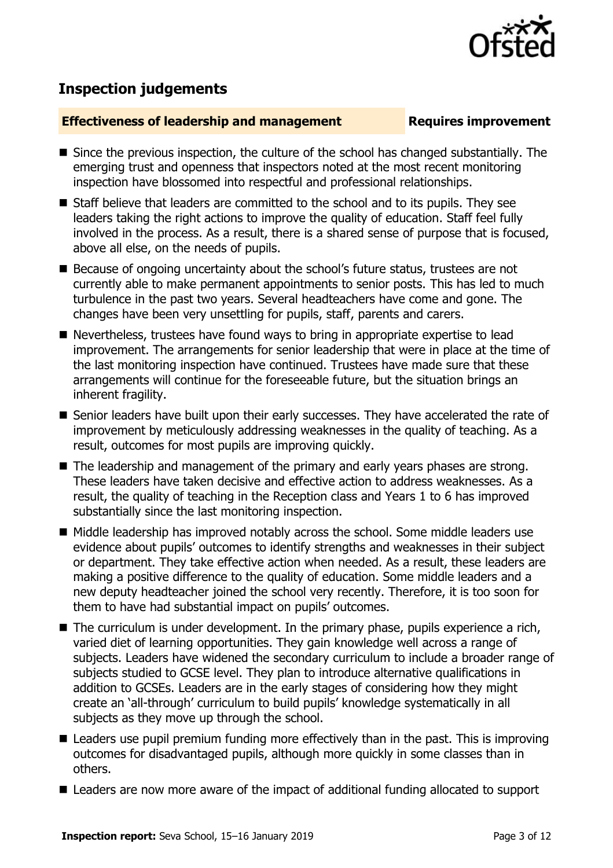

# **Inspection judgements**

#### **Effectiveness of leadership and management Requires improvement**

- Since the previous inspection, the culture of the school has changed substantially. The emerging trust and openness that inspectors noted at the most recent monitoring inspection have blossomed into respectful and professional relationships.
- Staff believe that leaders are committed to the school and to its pupils. They see leaders taking the right actions to improve the quality of education. Staff feel fully involved in the process. As a result, there is a shared sense of purpose that is focused, above all else, on the needs of pupils.
- Because of ongoing uncertainty about the school's future status, trustees are not currently able to make permanent appointments to senior posts. This has led to much turbulence in the past two years. Several headteachers have come and gone. The changes have been very unsettling for pupils, staff, parents and carers.
- Nevertheless, trustees have found ways to bring in appropriate expertise to lead improvement. The arrangements for senior leadership that were in place at the time of the last monitoring inspection have continued. Trustees have made sure that these arrangements will continue for the foreseeable future, but the situation brings an inherent fragility.
- Senior leaders have built upon their early successes. They have accelerated the rate of improvement by meticulously addressing weaknesses in the quality of teaching. As a result, outcomes for most pupils are improving quickly.
- The leadership and management of the primary and early years phases are strong. These leaders have taken decisive and effective action to address weaknesses. As a result, the quality of teaching in the Reception class and Years 1 to 6 has improved substantially since the last monitoring inspection.
- Middle leadership has improved notably across the school. Some middle leaders use evidence about pupils' outcomes to identify strengths and weaknesses in their subject or department. They take effective action when needed. As a result, these leaders are making a positive difference to the quality of education. Some middle leaders and a new deputy headteacher joined the school very recently. Therefore, it is too soon for them to have had substantial impact on pupils' outcomes.
- $\blacksquare$  The curriculum is under development. In the primary phase, pupils experience a rich, varied diet of learning opportunities. They gain knowledge well across a range of subjects. Leaders have widened the secondary curriculum to include a broader range of subjects studied to GCSE level. They plan to introduce alternative qualifications in addition to GCSEs. Leaders are in the early stages of considering how they might create an 'all-through' curriculum to build pupils' knowledge systematically in all subjects as they move up through the school.
- Leaders use pupil premium funding more effectively than in the past. This is improving outcomes for disadvantaged pupils, although more quickly in some classes than in others.
- Leaders are now more aware of the impact of additional funding allocated to support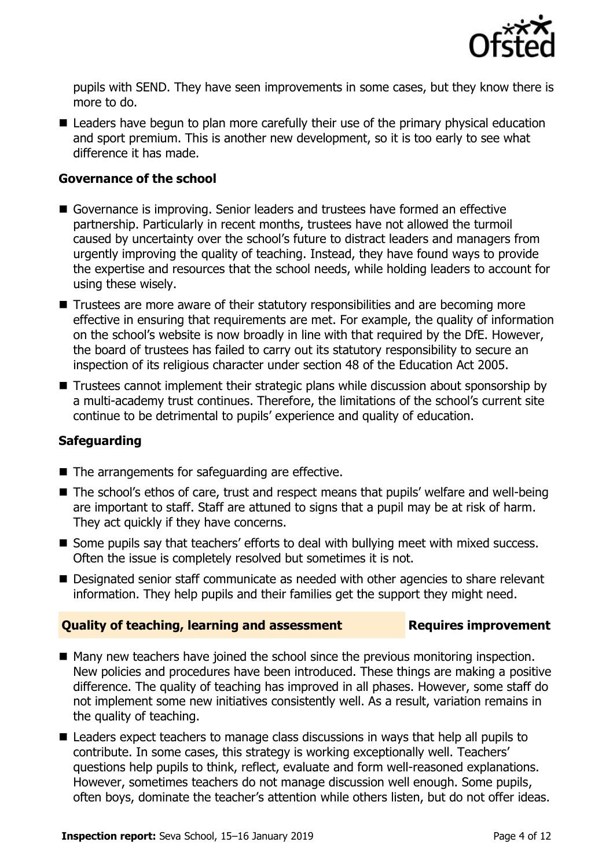

pupils with SEND. They have seen improvements in some cases, but they know there is more to do.

Leaders have begun to plan more carefully their use of the primary physical education and sport premium. This is another new development, so it is too early to see what difference it has made.

### **Governance of the school**

- Governance is improving. Senior leaders and trustees have formed an effective partnership. Particularly in recent months, trustees have not allowed the turmoil caused by uncertainty over the school's future to distract leaders and managers from urgently improving the quality of teaching. Instead, they have found ways to provide the expertise and resources that the school needs, while holding leaders to account for using these wisely.
- Trustees are more aware of their statutory responsibilities and are becoming more effective in ensuring that requirements are met. For example, the quality of information on the school's website is now broadly in line with that required by the DfE. However, the board of trustees has failed to carry out its statutory responsibility to secure an inspection of its religious character under section 48 of the Education Act 2005.
- Trustees cannot implement their strategic plans while discussion about sponsorship by a multi-academy trust continues. Therefore, the limitations of the school's current site continue to be detrimental to pupils' experience and quality of education.

### **Safeguarding**

- The arrangements for safeguarding are effective.
- The school's ethos of care, trust and respect means that pupils' welfare and well-being are important to staff. Staff are attuned to signs that a pupil may be at risk of harm. They act quickly if they have concerns.
- Some pupils say that teachers' efforts to deal with bullying meet with mixed success. Often the issue is completely resolved but sometimes it is not.
- Designated senior staff communicate as needed with other agencies to share relevant information. They help pupils and their families get the support they might need.

#### **Quality of teaching, learning and assessment Requires improvement**

- Many new teachers have joined the school since the previous monitoring inspection. New policies and procedures have been introduced. These things are making a positive difference. The quality of teaching has improved in all phases. However, some staff do not implement some new initiatives consistently well. As a result, variation remains in the quality of teaching.
- Leaders expect teachers to manage class discussions in ways that help all pupils to contribute. In some cases, this strategy is working exceptionally well. Teachers' questions help pupils to think, reflect, evaluate and form well-reasoned explanations. However, sometimes teachers do not manage discussion well enough. Some pupils, often boys, dominate the teacher's attention while others listen, but do not offer ideas.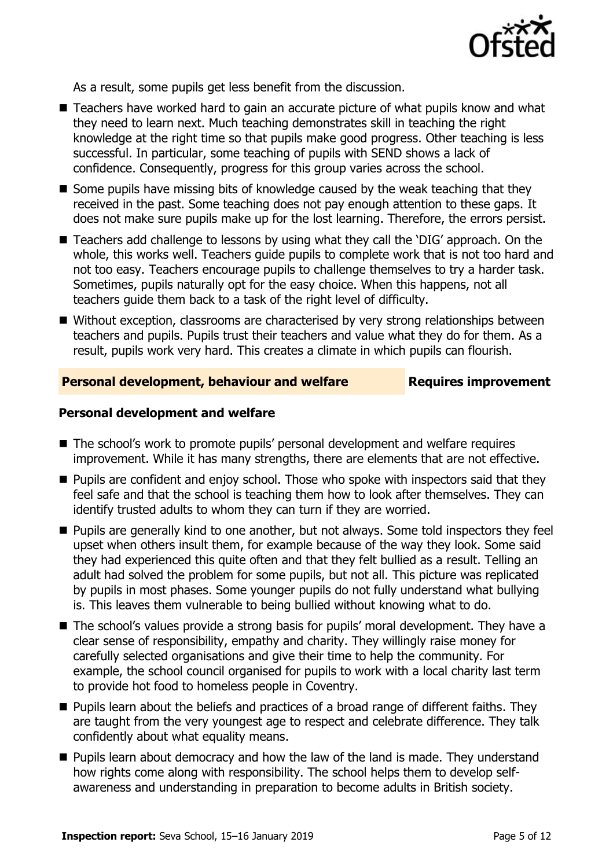

As a result, some pupils get less benefit from the discussion.

- Teachers have worked hard to gain an accurate picture of what pupils know and what they need to learn next. Much teaching demonstrates skill in teaching the right knowledge at the right time so that pupils make good progress. Other teaching is less successful. In particular, some teaching of pupils with SEND shows a lack of confidence. Consequently, progress for this group varies across the school.
- Some pupils have missing bits of knowledge caused by the weak teaching that they received in the past. Some teaching does not pay enough attention to these gaps. It does not make sure pupils make up for the lost learning. Therefore, the errors persist.
- Teachers add challenge to lessons by using what they call the 'DIG' approach. On the whole, this works well. Teachers guide pupils to complete work that is not too hard and not too easy. Teachers encourage pupils to challenge themselves to try a harder task. Sometimes, pupils naturally opt for the easy choice. When this happens, not all teachers guide them back to a task of the right level of difficulty.
- Without exception, classrooms are characterised by very strong relationships between teachers and pupils. Pupils trust their teachers and value what they do for them. As a result, pupils work very hard. This creates a climate in which pupils can flourish.

#### **Personal development, behaviour and welfare Fig. 2.1 Requires improvement**

#### **Personal development and welfare**

- The school's work to promote pupils' personal development and welfare requires improvement. While it has many strengths, there are elements that are not effective.
- Pupils are confident and enjoy school. Those who spoke with inspectors said that they feel safe and that the school is teaching them how to look after themselves. They can identify trusted adults to whom they can turn if they are worried.
- **Pupils are generally kind to one another, but not always. Some told inspectors they feel** upset when others insult them, for example because of the way they look. Some said they had experienced this quite often and that they felt bullied as a result. Telling an adult had solved the problem for some pupils, but not all. This picture was replicated by pupils in most phases. Some younger pupils do not fully understand what bullying is. This leaves them vulnerable to being bullied without knowing what to do.
- The school's values provide a strong basis for pupils' moral development. They have a clear sense of responsibility, empathy and charity. They willingly raise money for carefully selected organisations and give their time to help the community. For example, the school council organised for pupils to work with a local charity last term to provide hot food to homeless people in Coventry.
- **Pupils learn about the beliefs and practices of a broad range of different faiths. They** are taught from the very youngest age to respect and celebrate difference. They talk confidently about what equality means.
- **Pupils learn about democracy and how the law of the land is made. They understand** how rights come along with responsibility. The school helps them to develop selfawareness and understanding in preparation to become adults in British society.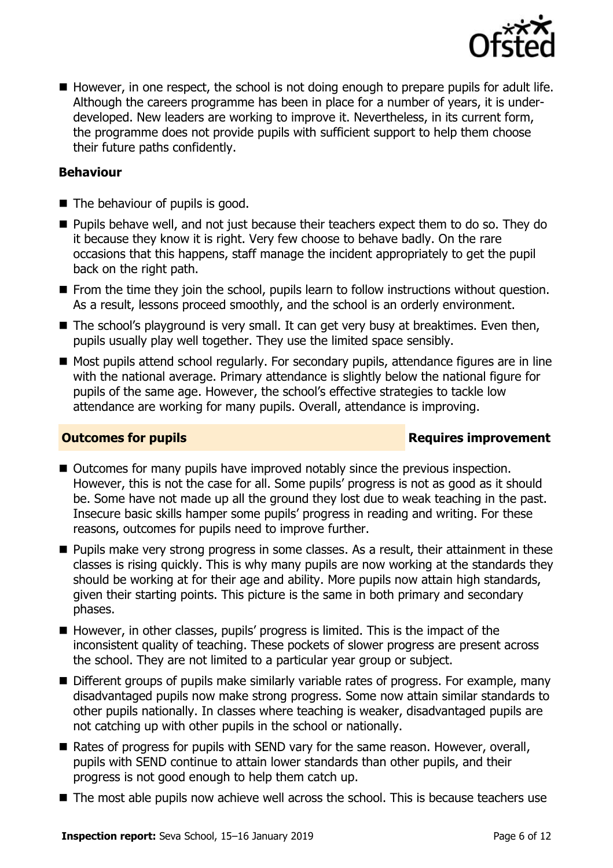

 $\blacksquare$  However, in one respect, the school is not doing enough to prepare pupils for adult life. Although the careers programme has been in place for a number of years, it is underdeveloped. New leaders are working to improve it. Nevertheless, in its current form, the programme does not provide pupils with sufficient support to help them choose their future paths confidently.

### **Behaviour**

- The behaviour of pupils is good.
- **Pupils behave well, and not just because their teachers expect them to do so. They do** it because they know it is right. Very few choose to behave badly. On the rare occasions that this happens, staff manage the incident appropriately to get the pupil back on the right path.
- **From the time they join the school, pupils learn to follow instructions without question.** As a result, lessons proceed smoothly, and the school is an orderly environment.
- $\blacksquare$  The school's playground is very small. It can get very busy at breaktimes. Even then, pupils usually play well together. They use the limited space sensibly.
- Most pupils attend school regularly. For secondary pupils, attendance figures are in line with the national average. Primary attendance is slightly below the national figure for pupils of the same age. However, the school's effective strategies to tackle low attendance are working for many pupils. Overall, attendance is improving.

#### **Outcomes for pupils Requires improvement**

- Outcomes for many pupils have improved notably since the previous inspection. However, this is not the case for all. Some pupils' progress is not as good as it should be. Some have not made up all the ground they lost due to weak teaching in the past. Insecure basic skills hamper some pupils' progress in reading and writing. For these reasons, outcomes for pupils need to improve further.
- **Pupils make very strong progress in some classes. As a result, their attainment in these** classes is rising quickly. This is why many pupils are now working at the standards they should be working at for their age and ability. More pupils now attain high standards, given their starting points. This picture is the same in both primary and secondary phases.
- However, in other classes, pupils' progress is limited. This is the impact of the inconsistent quality of teaching. These pockets of slower progress are present across the school. They are not limited to a particular year group or subject.
- Different groups of pupils make similarly variable rates of progress. For example, many disadvantaged pupils now make strong progress. Some now attain similar standards to other pupils nationally. In classes where teaching is weaker, disadvantaged pupils are not catching up with other pupils in the school or nationally.
- Rates of progress for pupils with SEND vary for the same reason. However, overall, pupils with SEND continue to attain lower standards than other pupils, and their progress is not good enough to help them catch up.
- The most able pupils now achieve well across the school. This is because teachers use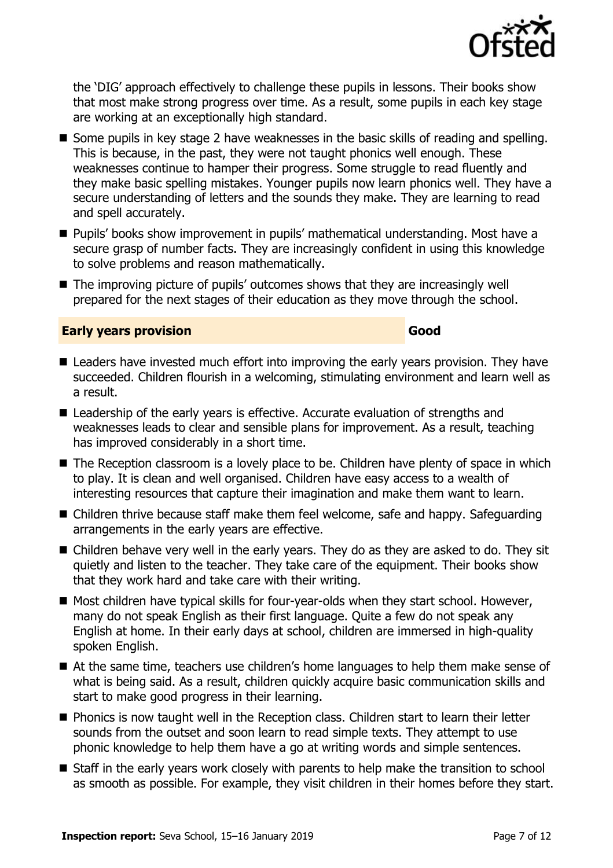

the 'DIG' approach effectively to challenge these pupils in lessons. Their books show that most make strong progress over time. As a result, some pupils in each key stage are working at an exceptionally high standard.

- Some pupils in key stage 2 have weaknesses in the basic skills of reading and spelling. This is because, in the past, they were not taught phonics well enough. These weaknesses continue to hamper their progress. Some struggle to read fluently and they make basic spelling mistakes. Younger pupils now learn phonics well. They have a secure understanding of letters and the sounds they make. They are learning to read and spell accurately.
- Pupils' books show improvement in pupils' mathematical understanding. Most have a secure grasp of number facts. They are increasingly confident in using this knowledge to solve problems and reason mathematically.
- The improving picture of pupils' outcomes shows that they are increasingly well prepared for the next stages of their education as they move through the school.

### **Early years provision Good**

- Leaders have invested much effort into improving the early vears provision. They have succeeded. Children flourish in a welcoming, stimulating environment and learn well as a result.
- Leadership of the early years is effective. Accurate evaluation of strengths and weaknesses leads to clear and sensible plans for improvement. As a result, teaching has improved considerably in a short time.
- The Reception classroom is a lovely place to be. Children have plenty of space in which to play. It is clean and well organised. Children have easy access to a wealth of interesting resources that capture their imagination and make them want to learn.
- Children thrive because staff make them feel welcome, safe and happy. Safeguarding arrangements in the early years are effective.
- Children behave very well in the early years. They do as they are asked to do. They sit quietly and listen to the teacher. They take care of the equipment. Their books show that they work hard and take care with their writing.
- $\blacksquare$  Most children have typical skills for four-year-olds when they start school. However, many do not speak English as their first language. Quite a few do not speak any English at home. In their early days at school, children are immersed in high-quality spoken English.
- At the same time, teachers use children's home languages to help them make sense of what is being said. As a result, children quickly acquire basic communication skills and start to make good progress in their learning.
- **Phonics is now taught well in the Reception class. Children start to learn their letter** sounds from the outset and soon learn to read simple texts. They attempt to use phonic knowledge to help them have a go at writing words and simple sentences.
- Staff in the early years work closely with parents to help make the transition to school as smooth as possible. For example, they visit children in their homes before they start.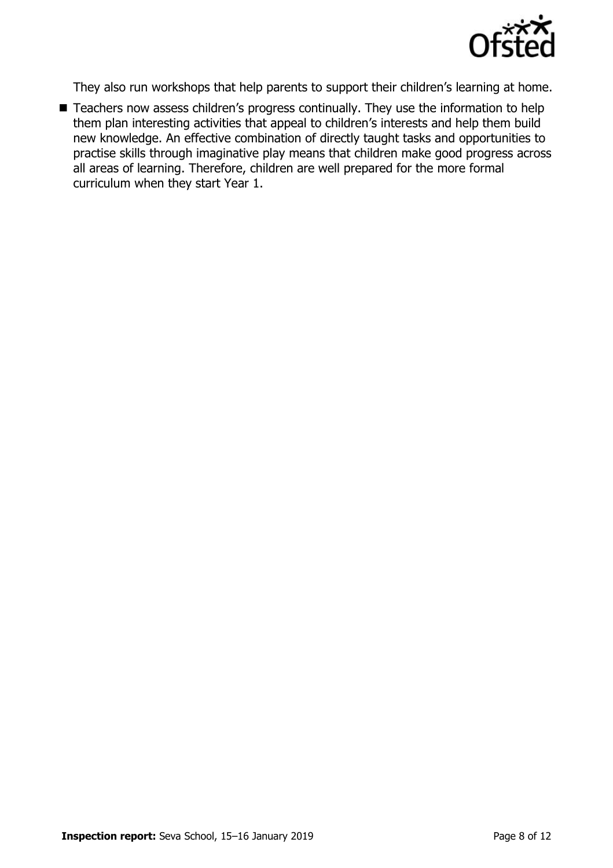

They also run workshops that help parents to support their children's learning at home.

■ Teachers now assess children's progress continually. They use the information to help them plan interesting activities that appeal to children's interests and help them build new knowledge. An effective combination of directly taught tasks and opportunities to practise skills through imaginative play means that children make good progress across all areas of learning. Therefore, children are well prepared for the more formal curriculum when they start Year 1.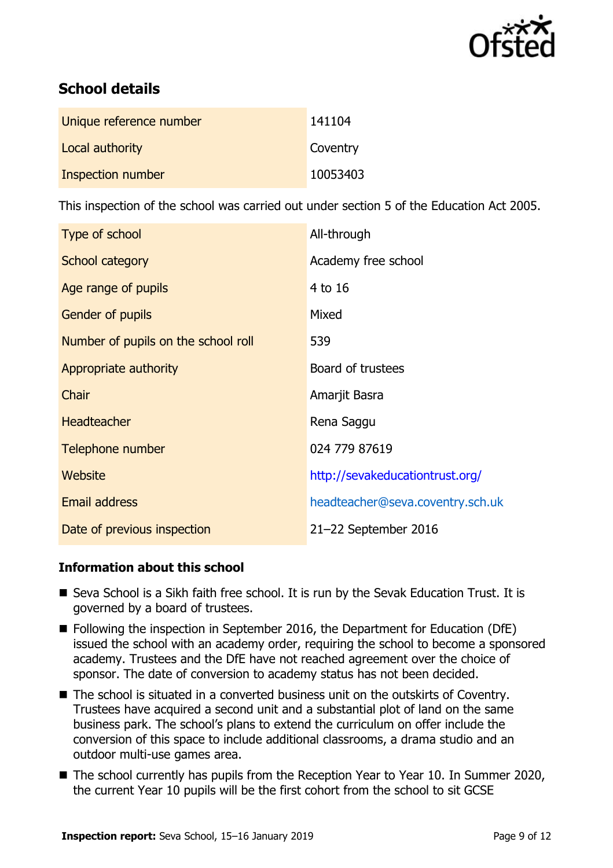

# **School details**

| Unique reference number | 141104   |
|-------------------------|----------|
| Local authority         | Coventry |
| Inspection number       | 10053403 |

This inspection of the school was carried out under section 5 of the Education Act 2005.

| Type of school                      | All-through                      |
|-------------------------------------|----------------------------------|
| School category                     | Academy free school              |
| Age range of pupils                 | 4 to 16                          |
| <b>Gender of pupils</b>             | Mixed                            |
| Number of pupils on the school roll | 539                              |
| Appropriate authority               | Board of trustees                |
| Chair                               | Amarjit Basra                    |
| <b>Headteacher</b>                  | Rena Saggu                       |
| Telephone number                    | 024 779 87619                    |
| Website                             | http://sevakeducationtrust.org/  |
| Email address                       | headteacher@seva.coventry.sch.uk |
| Date of previous inspection         | 21-22 September 2016             |

### **Information about this school**

- Seva School is a Sikh faith free school. It is run by the Sevak Education Trust. It is governed by a board of trustees.
- Following the inspection in September 2016, the Department for Education (DfE) issued the school with an academy order, requiring the school to become a sponsored academy. Trustees and the DfE have not reached agreement over the choice of sponsor. The date of conversion to academy status has not been decided.
- The school is situated in a converted business unit on the outskirts of Coventry. Trustees have acquired a second unit and a substantial plot of land on the same business park. The school's plans to extend the curriculum on offer include the conversion of this space to include additional classrooms, a drama studio and an outdoor multi-use games area.
- The school currently has pupils from the Reception Year to Year 10. In Summer 2020, the current Year 10 pupils will be the first cohort from the school to sit GCSE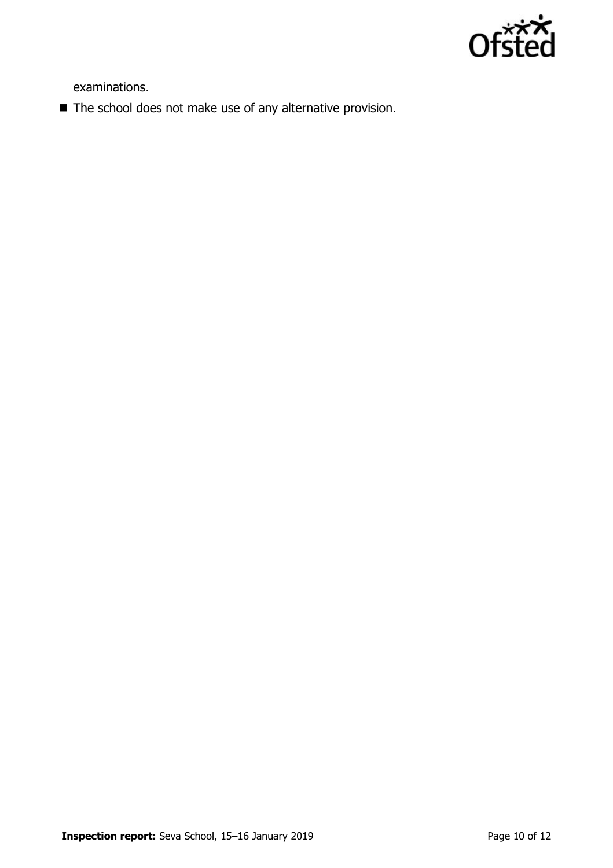

examinations.

■ The school does not make use of any alternative provision.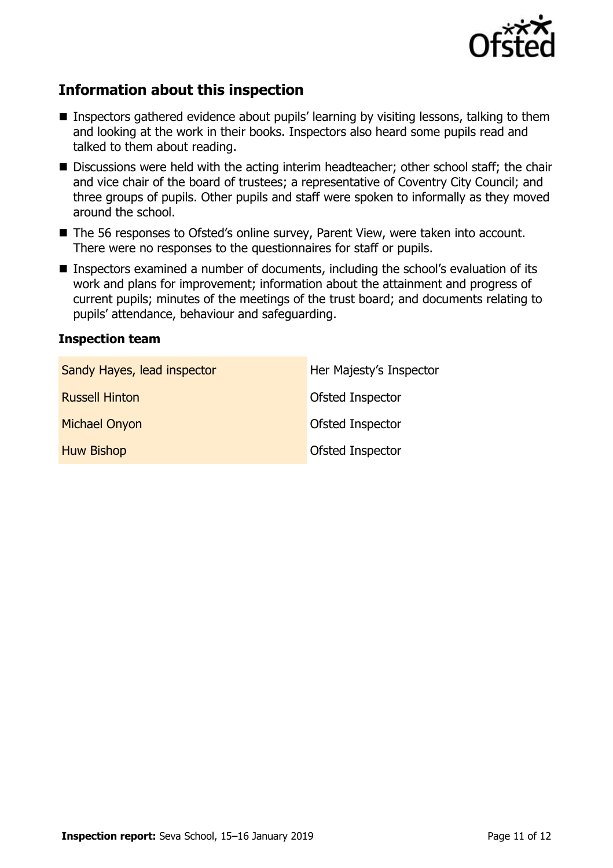

# **Information about this inspection**

- Inspectors gathered evidence about pupils' learning by visiting lessons, talking to them and looking at the work in their books. Inspectors also heard some pupils read and talked to them about reading.
- Discussions were held with the acting interim headteacher; other school staff; the chair and vice chair of the board of trustees; a representative of Coventry City Council; and three groups of pupils. Other pupils and staff were spoken to informally as they moved around the school.
- The 56 responses to Ofsted's online survey, Parent View, were taken into account. There were no responses to the questionnaires for staff or pupils.
- Inspectors examined a number of documents, including the school's evaluation of its work and plans for improvement; information about the attainment and progress of current pupils; minutes of the meetings of the trust board; and documents relating to pupils' attendance, behaviour and safeguarding.

#### **Inspection team**

| Sandy Hayes, lead inspector | Her Majesty's Inspector |
|-----------------------------|-------------------------|
| <b>Russell Hinton</b>       | Ofsted Inspector        |
| <b>Michael Onyon</b>        | Ofsted Inspector        |
| <b>Huw Bishop</b>           | Ofsted Inspector        |